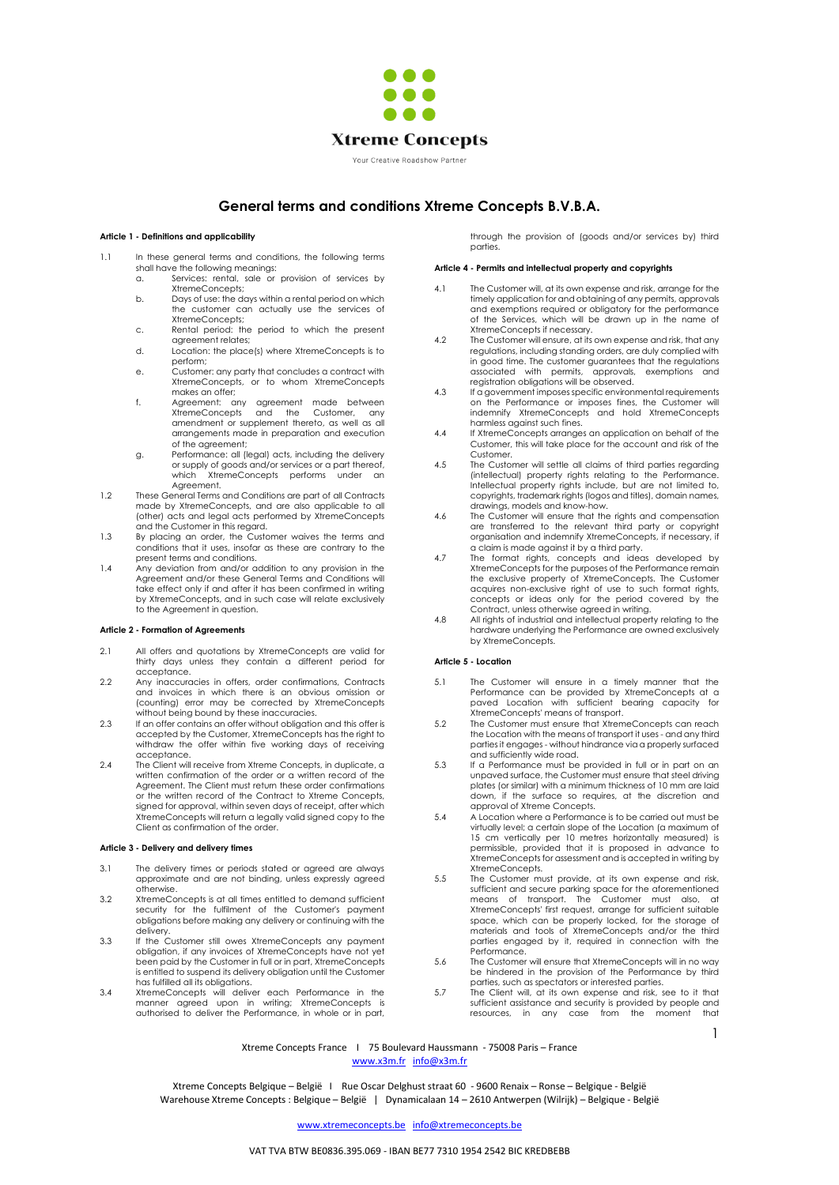

# **General terms and conditions Xtreme Concepts B.V.B.A.**

# **Article 1 - Definitions and applicability**

- 1.1 In these general terms and conditions, the following terms shall have the following meanings:
	- a. Services: rental, sale or provision of services by XtremeConcepts;
	- b. Days of use: the days within a rental period on which the customer can actually use the services of XtremeConcepts;
	- c. Rental period: the period to which the present agreement relates;
	- d. Location: the place(s) where XtremeConcepts is to perform;
	- e. Customer: any party that concludes a contract with XtremeConcepts, or to whom XtremeConcepts makes an offer; f. Agreement: any agreement made between
	- XtremeConcepts and the Customer any amendment or supplement thereto, as well as all arrangements made in preparation and execution of the agreement;
	- g. Performance: all (legal) acts, including the delivery or supply of goods and/or services or a part thereof, which XtremeConcepts performs under an Agreement.
- 1.2 These General Terms and Conditions are part of all Contracts made by XtremeConcepts, and are also applicable to all (other) acts and legal acts performed by XtremeConcepts
- and the Customer in this regard. 1.3 By placing an order, the Customer waives the terms and conditions that it uses, insofar as these are contrary to the present terms and conditions.
- 1.4 Any deviation from and/or addition to any provision in the Agreement and/or these General Terms and Conditions will take effect only if and after it has been confirmed in writing by XtremeConcepts, and in such case will relate exclusively to the Agreement in question.

## **Article 2 - Formation of Agreements**

- 2.1 All offers and quotations by XtremeConcepts are valid for thirty days unless they contain a different period for acceptance.
- 2.2 Any inaccuracies in offers, order confirmations, Contracts and invoices in which there is an obvious omission or (counting) error may be corrected by XtremeConcepts
- without being bound by these inaccuracies. 2.3 If an offer contains an offer without obligation and this offer is accepted by the Customer, XtremeConcepts has the right to withdraw the offer within five working days of receiving acceptance.
- 2.4 The Client will receive from Xtreme Concepts, in duplicate, a written confirmation of the order or a written record of the Agreement. The Client must return these order confirmations or the written record of the Contract to Xtreme Concepts, signed for approval, within seven days of receipt, after which XtremeConcepts will return a legally valid signed copy to the Client as confirmation of the order.

## **Article 3 - Delivery and delivery times**

- 3.1 The delivery times or periods stated or agreed are always approximate and are not binding, unless expressly agreed otherwise.
- 3.2 XtremeConcepts is at all times entitled to demand sufficient security for the fulfilment of the Customer's payment obligations before making any delivery or continuing with the
- delivery. 3.3 If the Customer still owes XtremeConcepts any payment obligation, if any invoices of XtremeConcepts have not yet been paid by the Customer in full or in part, XtremeConcepts is entitled to suspend its delivery obligation until the Customer has fulfilled all its obligations.
- 3.4 XtremeConcepts will deliver each Performance in the manner agreed upon in writing; XtremeConcepts is authorised to deliver the Performance, in whole or in part,

through the provision of (goods and/or services by) third parties.

# **Article 4 - Permits and intellectual property and copyrights**

- 4.1 The Customer will, at its own expense and risk, arrange for the timely application for and obtaining of any permits, approvals and exemptions required or obligatory for the performance of the Services, which will be drawn up in the name of
- XtremeConcepts if necessary. 4.2 The Customer will ensure, at its own expense and risk, that any regulations, including standing orders, are duly complied with
- in good time. The customer guarantees that the regulations<br>associated with permits, approvals, exemptions and<br>registration obligations will be observed.<br>If a government imposes specific environmental requirements<br>on the Pe harmless against such fines.
- 4.4 If XtremeConcepts arranges an application on behalf of the Customer, this will take place for the account and risk of the Customer.
- 4.5 The Customer will settle all claims of third parties regarding (intellectual) property rights relating to the Performance. Intellectual property rights include, but are not limited to, copyrights, trademark rights (logos and titles), domain names, drawings, models and know-how.
- 4.6 The Customer will ensure that the rights and compensation are transferred to the relevant third party or copyright organisation and indemnify XtremeConcepts, if necessary, if
- a claim is made against it by a third party. 4.7 The format rights, concepts and ideas developed by XtremeConcepts for the purposes of the Performance remain the exclusive property of XtremeConcepts. The Customer acquires non-exclusive right of use to such format rights, concepts or ideas only for the period covered by the Contract, unless otherwise agreed in writing. 4.8 All rights of industrial and intellectual property relating to the
- hardware underlying the Performance are owned exclusively by XtremeConcepts.

#### **Article 5 - Location**

- 5.1 The Customer will ensure in a timely manner that the Performance can be provided by XtremeConcepts at a paved Location with sufficient bearing capacity for
- XtremeConcepts' means of transport. 5.2 The Customer must ensure that XtremeConcepts can reach the Location with the means of transport it uses - and any third parties it engages - without hindrance via a properly surfaced and sufficiently wide road.
- 5.3 If a Performance must be provided in full or in part on an unpaved surface, the Customer must ensure that steel driving plates (or similar) with a minimum thickness of 10 mm are laid down, if the surface so requires, at the discretion and approval of Xtreme Concepts.
- 5.4 A Location where a Performance is to be carried out must be virtually level; a certain slope of the Location (a maximum of 15 cm vertically per 10 metres horizontally measured) is permissible, provided that it is proposed in advance to XtremeConcepts for assessment and is accepted in writing by XtremeConcepts.
- 5.5 The Customer must provide, at its own expense and risk, sufficient and secure parking space for the aforementioned means of transport. The Customer must also, at XtremeConcepts' first request, arrange for sufficient suitable space, which can be properly locked, for the storage of materials and tools of XtremeConcepts and/or the third parties engaged by it, required in connection with the Performance.
- 5.6 The Customer will ensure that XtremeConcepts will in no way be hindered in the provision of the Performance by third parties, such as spectators or interested parties.
- 5.7 The Client will, at its own expense and risk, see to it that sufficient assistance and security is provided by people and resources, in any case from the moment that

1

Xtreme Concepts France I 75 Boulevard Haussmann - 75008 Paris – France [www.x3m.fr](http://www.x3m.fr/) [info@x3m.fr](mailto:info@x3m.fr)

Xtreme Concepts Belgique – België I Rue Oscar Delghust straat 60 - 9600 Renaix – Ronse – Belgique - België Warehouse Xtreme Concepts : Belgique – België | Dynamicalaan 14 – 2610 Antwerpen (Wilrijk) – Belgique - België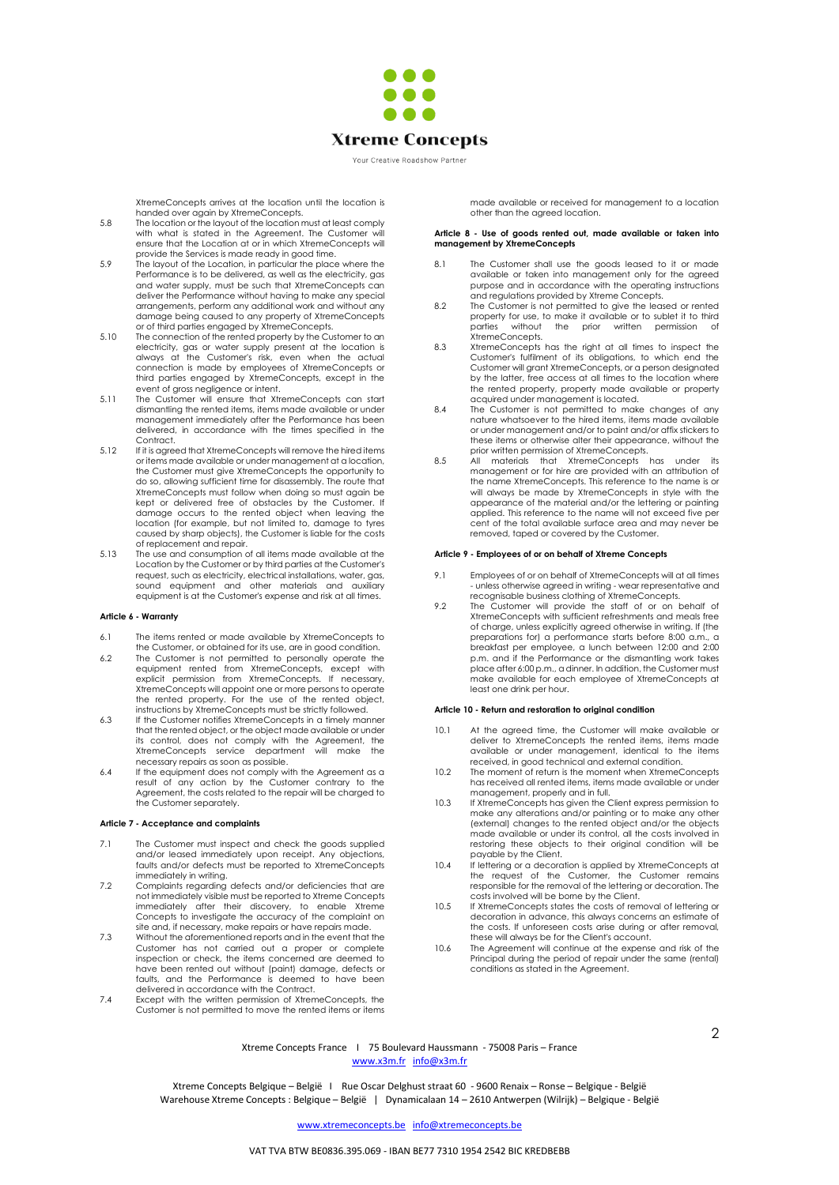

Your Creative Roadshow Partner

XtremeConcepts arrives at the location until the location is handed over again by XtremeConcepts.

- 5.8 The location or the layout of the location must at least comply with what is stated in the Agreement. The Customer will ensure that the Location at or in which XtremeConcepts will
- provide the Services is made ready in good time. 5.9 The layout of the Location, in particular the place where the Performance is to be delivered, as well as the electricity, gas and water supply, must be such that XtremeConcepts can deliver the Performance without having to make any special arrangements, perform any additional work and without any damage being caused to any property of XtremeConcepts
- or of third parties engaged by XtremeConcepts. 5.10 The connection of the rented property by the Customer to an electricity, gas or water supply present at the location is always at the Customer's risk, even when the actual connection is made by employees of XtremeConcepts or third parties engaged by XtremeConcepts, except in the
- event of gross negligence or intent. 5.11 The Customer will ensure that XtremeConcepts can start dismantling the rented items, items made available or under management immediately after the Performance has been delivered, in accordance with the times specified in the Contract.
- 5.12 If it is agreed that XtremeConcepts will remove the hired items or items made available or under management at a location, the Customer must give XtremeConcepts the opportunity to do so, allowing sufficient time for disassembly. The route that XtremeConcepts must follow when doing so must again be kept or delivered free of obstacles by the Customer. If damage occurs to the rented object when leaving the location (for example, but not limited to, damage to tyres caused by sharp objects), the Customer is liable for the costs of replacement and repair.
- 5.13 The use and consumption of all items made available at the Location by the Customer or by third parties at the Customer's request, such as electricity, electrical installations, water, gas, sound equipment and other materials and auxiliary equipment is at the Customer's expense and risk at all times.

## **Article 6 - Warranty**

- 6.1 The items rented or made available by XtremeConcepts to the Customer, or obtained for its use, are in good condition.
- 6.2 The Customer is not permitted to personally operate the equipment rented from XtremeConcepts, except with explicit permission from XtremeConcepts. If necessary, XtremeConcepts will appoint one or more persons to operate the rented property. For the use of the rented object, instructions by XtremeConcepts must be strictly followed. 6.3 If the Customer notifies XtremeConcepts in a timely manner
- that the rented object, or the object made available or under its control, does not comply with the Agreement, the XtremeConcepts service department will make the necessary repairs as soon as possible.
- 6.4 If the equipment does not comply with the Agreement as a result of any action by the Customer contrary to the Agreement, the costs related to the repair will be charged to the Customer separately.

# **Article 7 - Acceptance and complaints**

- 7.1 The Customer must inspect and check the goods supplied and/or leased immediately upon receipt. Any objections, faults and/or defects must be reported to XtremeConcepts immediately in writing.
- 7.2 Complaints regarding defects and/or deficiencies that are<br>not immediately visible must be reported to Xtreme Concepts<br>immediately after their discovery, to enable Xtreme<br>Concepts to investigate the accuracy of the comp site and, if necessary, make repairs or have repairs made.
- 7.3 Without the aforementioned reports and in the event that the Customer has not carried out a proper or complete inspection or check, the items concerned are deemed to have been rented out without (paint) damage, defects or faults, and the Performance is deemed to have been
- delivered in accordance with the Contract.<br>7.4 Except with the written permission of XtremeConcepts, the<br>Customer is not permitted to move the rented items or items

made available or received for management to a location other than the agreed location.

#### **Article 8 - Use of goods rented out, made available or taken into management by XtremeConcepts**

- 8.1 The Customer shall use the goods leased to it or made available or taken into management only for the agreed purpose and in accordance with the operating instructions and regulations provided by Xtreme Concepts.
- 8.2 The Customer is not permitted to give the leased or rented property for use, to make it available or to sublet it to third parties without the prior written permission of XtremeConcepts.
- 8.3 XtremeConcepts has the right at all times to inspect the Customer's fulfilment of its obligations, to which end the Customer will grant XtremeConcepts, or a person designated by the latter, free access at all times to the location where the rented property, property made available or property acquired under management is located.
- 8.4 The Customer is not permitted to make changes of any nature whatsoever to the hired items, items made available or under management and/or to paint and/or affix stickers to these items or otherwise alter their appearance, without the prior written permission of XtremeConcepts.
- 8.5 All materials that XtremeConcepts has under its management or for hire are provided with an attribution of the name XtremeConcepts. This reference to the name is or will always be made by XtremeConcepts in style with the appearance of the material and/or the lettering or painting applied. This reference to the name will not exceed five per cent of the total available surface area and may never be removed, taped or covered by the Customer.

#### **Article 9 - Employees of or on behalf of Xtreme Concepts**

- 9.1 Employees of or on behalf of XtremeConcepts will at all times - unless otherwise agreed in writing - wear representative and recognisable business clothing of XtremeConcepts.
- 9.2 The Customer will provide the staff of or on behalf of XtremeConcepts with sufficient refreshments and meals free of charge, unless explicitly agreed otherwise in writing. If (the preparations for) a performance starts before 8:00 a.m., a breakfast per employee, a lunch between 12:00 and 2:00 p.m. and if the Performance or the dismantling work takes place after 6:00 p.m., a dinner. In addition, the Customer must make available for each employee of XtremeConcepts at least one drink per hour.

## **Article 10 - Return and restoration to original condition**

- 10.1 At the agreed time, the Customer will make available or deliver to XtremeConcepts the rented items, items made available or under management, identical to the items received, in good technical and external condition.
- 10.2 The moment of return is the moment when XtremeConcepts has received all rented items, items made available or under
- management, properly and in full.<br>10.3 If XtremeConcepts has given the Client express permission to make any alterations and/or painting or to make any other (external) changes to the rented object and/or the objects made available or under its control, all the costs involved in restoring these objects to their original condition will be payable by the Client.
- 10.4 If lettering or a decoration is applied by XtremeConcepts at the request of the Customer, the Customer remains responsible for the removal of the lettering or decoration. The costs involved will be borne by the Client.
- 10.5 If XtremeConcepts states the costs of removal of lettering or decoration in advance, this always concerns an estimate of the costs. If unforeseen costs arise during or after removal,
- these will always be for the Client's account. 10.6 The Agreement will continue at the expense and risk of the Principal during the period of repair under the same (rental) conditions as stated in the Agreement.

Xtreme Concepts France I 75 Boulevard Haussmann - 75008 Paris – France [www.x3m.fr](http://www.x3m.fr/) [info@x3m.fr](mailto:info@x3m.fr)

Xtreme Concepts Belgique – België I Rue Oscar Delghust straat 60 - 9600 Renaix – Ronse – Belgique - België Warehouse Xtreme Concepts : Belgique – België | Dynamicalaan 14 – 2610 Antwerpen (Wilrijk) – Belgique - België 2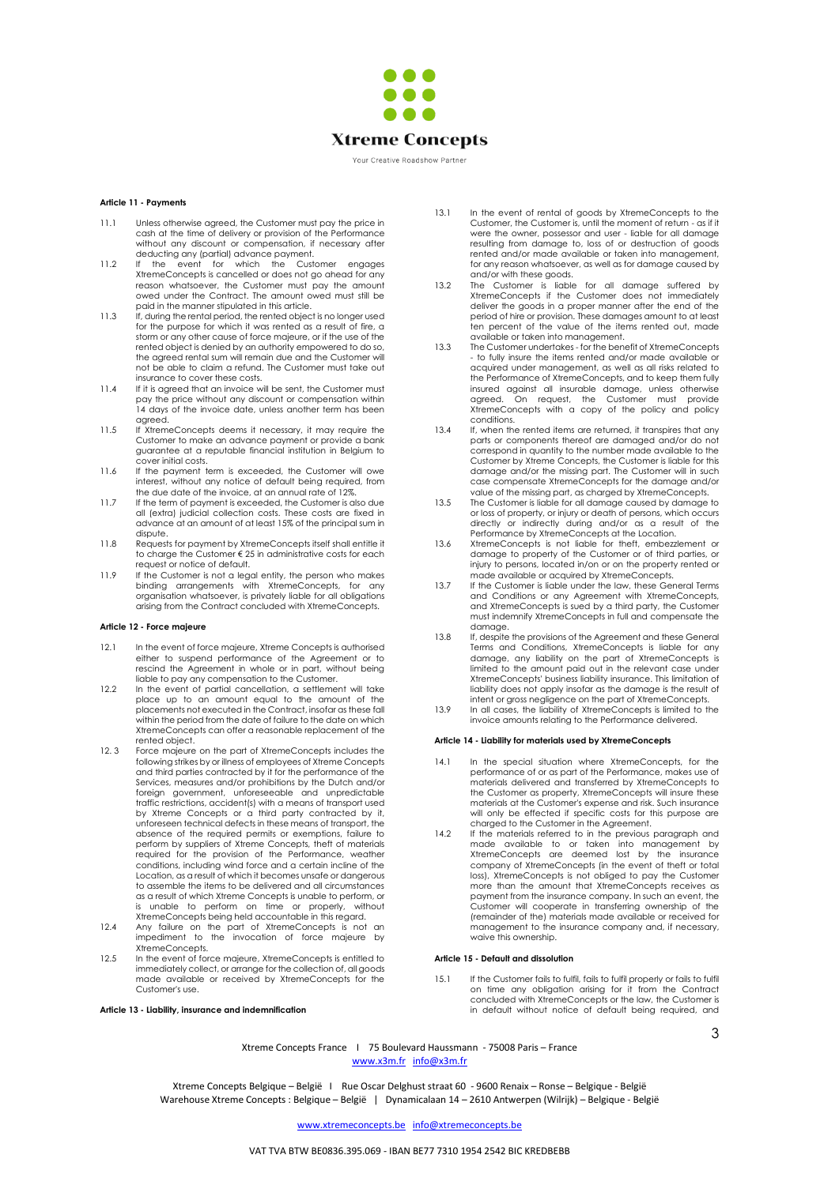

#### Your Creative Roadshow Partner

## **Article 11 - Payments**

- 11.1 Unless otherwise agreed, the Customer must pay the price in cash at the time of delivery or provision of the Performance without any discount or compensation, if necessary after
- deducting any (partial) advance payment.<br>11.2 If the event for which the Customer engages<br>XtremeConcepts is cancelled or does not go ahead for any<br>reason whatsoever, the Customer must pay the amount owed under the Contract. The amount owed must still be paid in the manner stipulated in this article.
- 11.3 If, during the rental period, the rented object is no longer used for the purpose for which it was rented as a result of fire, a storm or any other cause of force majeure, or if the use of the rented object is denied by an authority empowered to do so, the agreed rental sum will remain due and the Customer will not be able to claim a refund. The Customer must take out
- insurance to cover these costs. 11.4 If it is agreed that an invoice will be sent, the Customer must pay the price without any discount or compensation within 14 days of the invoice date, unless another term has been agreed.
- 11.5 If XtremeConcepts deems it necessary, it may require the Customer to make an advance payment or provide a bank guarantee at a reputable financial institution in Belgium to cover initial costs.
- 11.6 If the payment term is exceeded, the Customer will owe interest, without any notice of default being required, from
- the due date of the invoice, at an annual rate of 12%. 11.7 If the term of payment is exceeded, the Customer is also due all (extra) judicial collection costs. These costs are fixed in advance at an amount of at least 15% of the principal sum in dispute.
- 11.8 Requests for payment by XtremeConcepts itself shall entitle it to charge the Customer € 25 in administrative costs for each request or notice of default.
- 11.9 If the Customer is not a legal entity, the person who makes<br>binding arrangements with XtremeConcepts, for<br>organisation whatsoever, is privately liable for all obligations arising from the Contract concluded with XtremeConcepts.

#### **Article 12 - Force majeure**

- 12.1 In the event of force majeure, Xtreme Concepts is authorised either to suspend performance of the Agreement or to rescind the Agreement in whole or in part, without being liable to pay any compensation to the Customer.
- 12.2 In the event of partial cancellation, a settlement will take place up to an amount equal to the amount of the placements not executed in the Contract, insofar as these fall within the period from the date of failure to the date on which XtremeConcepts can offer a reasonable replacement of the rented object.
- 12. 3 Force majeure on the part of XtremeConcepts includes the following strikes by or illness of employees of Xtreme Concepts and third parties contracted by it for the performance of the Services, measures and/or prohibitions by the Dutch and/or foreign government, unforeseeable and unpredictable traffic restrictions, accident(s) with a means of transport used by Xtreme Concepts or a third party contracted by it, unforeseen technical defects in these means of transport, the absence of the required permits or exemptions, failure to perform by suppliers of Xtreme Concepts, theft of materials required for the provision of the Performance, weather conditions, including wind force and a certain incline of the Location, as a result of which it becomes unsafe or dangerous to assemble the items to be delivered and all circumstances as a result of which Xtreme Concepts is unable to perform, or is unable to perform on time or properly, without XtremeConcepts being held accountable in this regard.
- 12.4 Any failure on the part of XtremeConcepts is not an impediment to the invocation of force majeure by XtremeConcepts.
- 12.5 In the event of force majeure, XtremeConcepts is entitled to immediately collect, or arrange for the collection of, all goods made available or received by XtremeConcepts for the Customer's use.

## **Article 13 - Liability, insurance and indemnification**

- 13.1 In the event of rental of goods by XtremeConcepts to the Customer, the Customer is, until the moment of return - as if it were the owner, possessor and user - liable for all damage resulting from damage to, loss of or destruction of goods rented and/or made available or taken into management, for any reason whatsoever, as well as for damage caused by
- and/or with these goods. 13.2 The Customer is liable for all damage suffered by XtremeConcepts if the Customer does not immediately deliver the goods in a proper manner after the end of the period of hire or provision. These damages amount to at least ten percent of the value of the items rented out, made available or taken into management.
- 13.3 The Customer undertakes for the benefit of XtremeConcepts - to fully insure the items rented and/or made available or acquired under management, as well as all risks related to the Performance of XtremeConcepts, and to keep them fully insured against all insurable damage, unless otherwise agreed. On request, the Customer must provide XtremeConcepts with a copy of the policy and policy conditions.
- 13.4 If, when the rented items are returned, it transpires that any parts or components thereof are damaged and/or do not correspond in quantity to the number made available to the Customer by Xtreme Concepts, the Customer is liable for this damage and/or the missing part. The Customer will in such case compensate XtremeConcepts for the damage and/or
- value of the missing part, as charged by XtremeConcepts. 13.5 The Customer is liable for all damage caused by damage to or loss of property, or injury or death of persons, which occurs directly or indirectly during and/or as a result of the Performance by XtremeConcepts at the Location.
- 13.6 XtremeConcepts is not liable for theft, embezzlement or damage to property of the Customer or of third parties, or injury to persons, located in/on or on the property rented or
- made available or acquired by XtremeConcepts. 13.7 If the Customer is liable under the law, these General Terms and Conditions or any Agreement with XtremeConcepts, and XtremeConcepts is sued by a third party, the Customer must indemnify XtremeConcepts in full and compensate the damage.
- 13.8 If, despite the provisions of the Agreement and these General Terms and Conditions, XtremeConcepts is liable for any damage, any liability on the part of XtremeConcepts is limited to the amount paid out in the relevant case under XtremeConcepts' business liability insurance. This limitation of liability does not apply insofar as the damage is the result of intent or gross negligence on the part of XtremeConcepts.
- 13.9 In all cases, the liability of XtremeConcepts is limited to the invoice amounts relating to the Performance delivered.

#### **Article 14 - Liability for materials used by XtremeConcepts**

- 14.1 In the special situation where XtremeConcepts, for the performance of or as part of the Performance, makes use of materials delivered and transferred by XtremeConcepts to the Customer as property, XtremeConcepts will insure these materials at the Customer's expense and risk. Such insurance will only be effected if specific costs for this purpose are charged to the Customer in the Agreement.
- 14.2 If the materials referred to in the previous paragraph and made available to or taken into management by XtremeConcepts are deemed lost by the insurance company of XtremeConcepts (in the event of theft or total loss), XtremeConcepts is not obliged to pay the Customer more than the amount that XtremeConcepts receives as payment from the insurance company. In such an event, the Customer will cooperate in transferring ownership of the (remainder of the) materials made available or received for management to the insurance company and, if necessary, waive this ownership.

## **Article 15 - Default and dissolution**

15.1 If the Customer fails to fulfil, fails to fulfil properly or fails to fulfil on time any obligation arising for it from the Contract concluded with XtremeConcepts or the law, the Customer is in default without notice of default being required, and

Xtreme Concepts France I 75 Boulevard Haussmann - 75008 Paris – France [www.x3m.fr](http://www.x3m.fr/) [info@x3m.fr](mailto:info@x3m.fr)

Xtreme Concepts Belgique – België I Rue Oscar Delghust straat 60 - 9600 Renaix – Ronse – Belgique - België Warehouse Xtreme Concepts : Belgique – België | Dynamicalaan 14 – 2610 Antwerpen (Wilrijk) – Belgique - België 3